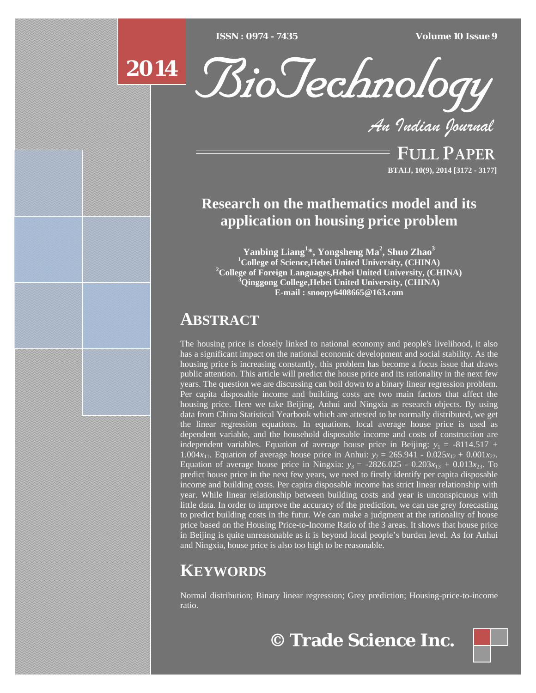[Type text] [Type text] [Type text] *ISSN : 0974 - 7435 Volume 10 Issue 9*





*An Indian Journal*

FULL PAPER **BTAIJ, 10(9), 2014 [3172 - 3177]**

# **Research on the mathematics model and its application on housing price problem**

**Yanbing Liang<sup>1</sup> \*, Yongsheng Ma2 , Shuo Zhao<sup>3</sup>** <sup>1</sup> College of Science, Hebei United University, (CHINA) **College of Foreign Languages,Hebei United University, (CHINA) 3 Qinggong College,Hebei United University, (CHINA) E-mail : snoopy6408665@163.com**

# **ABSTRACT**

The housing price is closely linked to national economy and people's livelihood, it also has a significant impact on the national economic development and social stability. As the housing price is increasing constantly, this problem has become a focus issue that draws public attention. This article will predict the house price and its rationality in the next few years. The question we are discussing can boil down to a binary linear regression problem. Per capita disposable income and building costs are two main factors that affect the housing price. Here we take Beijing, Anhui and Ningxia as research objects. By using data from China Statistical Yearbook which are attested to be normally distributed, we get the linear regression equations. In equations, local average house price is used as dependent variable, and the household disposable income and costs of construction are independent variables. Equation of average house price in Beijing:  $y_1 = -8114.517 +$ 1.004 $x_{11}$ . Equation of average house price in Anhui:  $y_2 = 265.941 - 0.025x_{12} + 0.001x_{22}$ . Equation of average house price in Ningxia:  $y_3 = -2826.025 - 0.203x_{13} + 0.013x_{23}$ . To predict house price in the next few years, we need to firstly identify per capita disposable income and building costs. Per capita disposable income has strict linear relationship with year. While linear relationship between building costs and year is unconspicuous with little data. In order to improve the accuracy of the prediction, we can use grey forecasting to predict building costs in the futur. We can make a judgment at the rationality of house price based on the Housing Price-to-Income Ratio of the 3 areas. It shows that house price in Beijing is quite unreasonable as it is beyond local people's burden level. As for Anhui and Ningxia, house price is also too high to be reasonable.

# **KEYWORDS**

Normal distribution; Binary linear regression; Grey prediction; Housing-price-to-income ratio.

**© Trade Science Inc.**

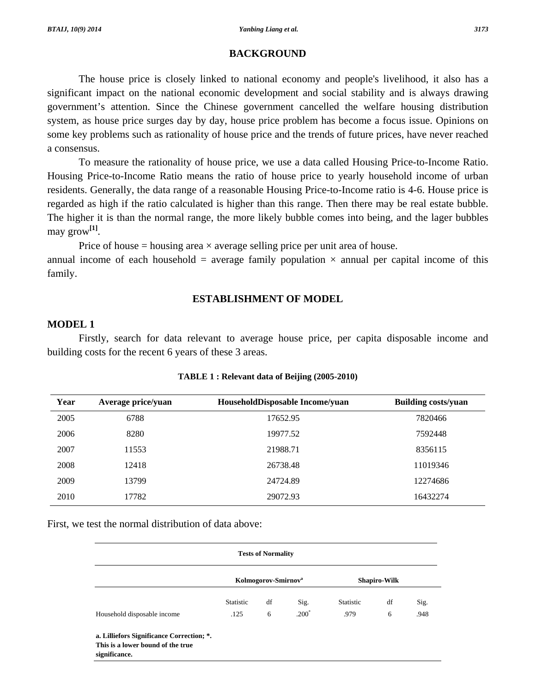## **BACKGROUND**

 The house price is closely linked to national economy and people's livelihood, it also has a significant impact on the national economic development and social stability and is always drawing government's attention. Since the Chinese government cancelled the welfare housing distribution system, as house price surges day by day, house price problem has become a focus issue. Opinions on some key problems such as rationality of house price and the trends of future prices, have never reached a consensus.

 To measure the rationality of house price, we use a data called Housing Price-to-Income Ratio. Housing Price-to-Income Ratio means the ratio of house price to yearly household income of urban residents. Generally, the data range of a reasonable Housing Price-to-Income ratio is 4-6. House price is regarded as high if the ratio calculated is higher than this range. Then there may be real estate bubble. The higher it is than the normal range, the more likely bubble comes into being, and the lager bubbles may grow**[1]**.

Price of house  $=$  housing area  $\times$  average selling price per unit area of house.

annual income of each household = average family population  $\times$  annual per capital income of this family.

## **ESTABLISHMENT OF MODEL**

### **MODEL 1**

Firstly, search for data relevant to average house price, per capita disposable income and building costs for the recent 6 years of these 3 areas.

| Year | Average price/yuan | HouseholdDisposable Income/yuan | <b>Building costs/yuan</b> |
|------|--------------------|---------------------------------|----------------------------|
| 2005 | 6788               | 17652.95                        | 7820466                    |
| 2006 | 8280               | 19977.52                        | 7592448                    |
| 2007 | 11553              | 21988.71                        | 8356115                    |
| 2008 | 12418              | 26738.48                        | 11019346                   |
| 2009 | 13799              | 24724.89                        | 12274686                   |
| 2010 | 17782              | 29072.93                        | 16432274                   |

#### **TABLE 1 : Relevant data of Beijing (2005-2010)**

First, we test the normal distribution of data above:

| <b>Tests of Normality</b>                                                                       |                  |                                 |         |                  |                     |      |
|-------------------------------------------------------------------------------------------------|------------------|---------------------------------|---------|------------------|---------------------|------|
|                                                                                                 |                  | Kolmogorov-Smirnov <sup>a</sup> |         |                  | <b>Shapiro-Wilk</b> |      |
|                                                                                                 | <b>Statistic</b> | df                              | Sig.    | <b>Statistic</b> | df                  | Sig. |
| Household disposable income                                                                     | .125             | 6                               | $.200*$ | .979             | 6                   | .948 |
| a. Lilliefors Significance Correction; *.<br>This is a lower bound of the true<br>significance. |                  |                                 |         |                  |                     |      |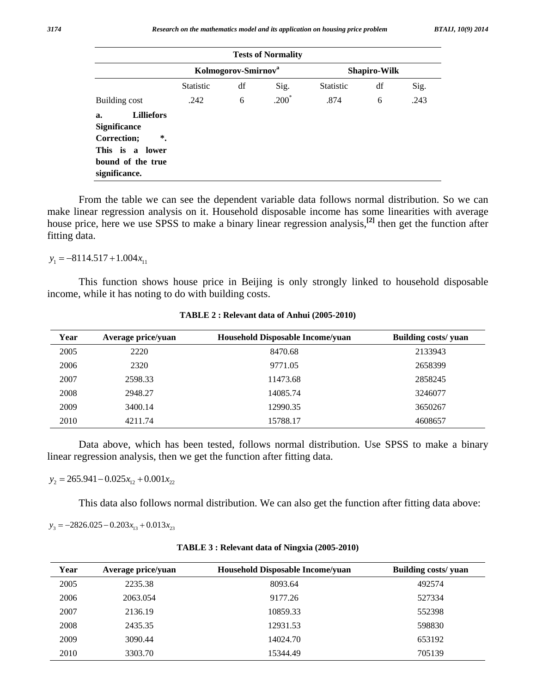|                                                                                                                                     |                  |                                 | <b>Tests of Normality</b> |                  |                     |      |
|-------------------------------------------------------------------------------------------------------------------------------------|------------------|---------------------------------|---------------------------|------------------|---------------------|------|
|                                                                                                                                     |                  | Kolmogorov-Smirnov <sup>a</sup> |                           |                  | <b>Shapiro-Wilk</b> |      |
|                                                                                                                                     | <b>Statistic</b> | df                              | Sig.                      | <b>Statistic</b> | df                  | Sig. |
| Building cost                                                                                                                       | .242             | 6                               | $.200*$                   | .874             | 6                   | .243 |
| <b>Lilliefors</b><br>a.<br><b>Significance</b><br>$^\ast$ .<br>Correction;<br>This is a lower<br>bound of the true<br>significance. |                  |                                 |                           |                  |                     |      |

From the table we can see the dependent variable data follows normal distribution. So we can make linear regression analysis on it. Household disposable income has some linearities with average house price, here we use SPSS to make a binary linear regression analysis,**[2]** then get the function after fitting data.

 $y_1 = -8114.517 + 1.004 x_{11}$ 

This function shows house price in Beijing is only strongly linked to household disposable income, while it has noting to do with building costs.

| Year | Average price/yuan | Household Disposable Income/yuan | Building costs/ yuan |
|------|--------------------|----------------------------------|----------------------|
| 2005 | 2220               | 8470.68                          | 2133943              |
| 2006 | 2320               | 9771.05                          | 2658399              |
| 2007 | 2598.33            | 11473.68                         | 2858245              |
| 2008 | 2948.27            | 14085.74                         | 3246077              |
| 2009 | 3400.14            | 12990.35                         | 3650267              |
| 2010 | 4211.74            | 15788.17                         | 4608657              |

**TABLE 2 : Relevant data of Anhui (2005-2010)** 

Data above, which has been tested, follows normal distribution. Use SPSS to make a binary linear regression analysis, then we get the function after fitting data.

 $y_2 = 265.941 - 0.025x_{12} + 0.001x_{22}$ 

This data also follows normal distribution. We can also get the function after fitting data above:

 $y_3 = -2826.025 - 0.203x_{13} + 0.013x_{23}$ 

| Year | Average price/yuan | <b>Household Disposable Income/yuan</b> | Building costs/ yuan |
|------|--------------------|-----------------------------------------|----------------------|
| 2005 | 2235.38            | 8093.64                                 | 492574               |
| 2006 | 2063.054           | 9177.26                                 | 527334               |
| 2007 | 2136.19            | 10859.33                                | 552398               |
| 2008 | 2435.35            | 12931.53                                | 598830               |
| 2009 | 3090.44            | 14024.70                                | 653192               |
| 2010 | 3303.70            | 15344.49                                | 705139               |

**TABLE 3 : Relevant data of Ningxia (2005-2010)**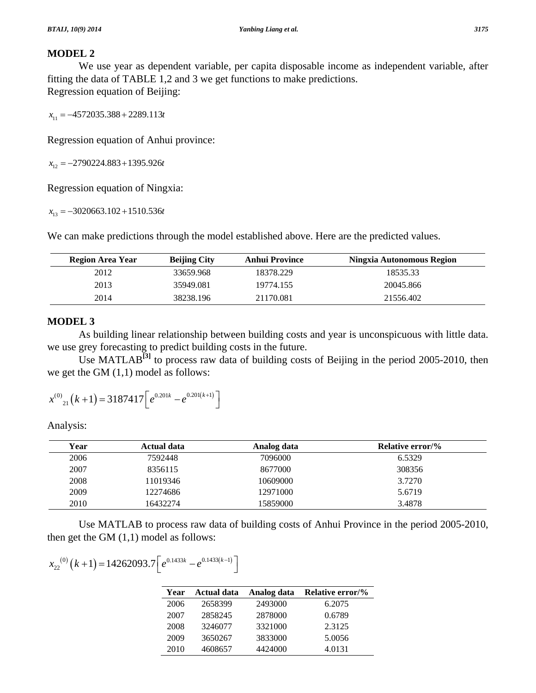# **MODEL 2**

We use year as dependent variable, per capita disposable income as independent variable, after fitting the data of TABLE 1,2 and 3 we get functions to make predictions. Regression equation of Beijing:

*x*<sub>11</sub> = −4572035.388 + 2289.113*t* 

Regression equation of Anhui province:

*x*<sub>12</sub> = −2790224.883 + 1395.926*t* 

Regression equation of Ningxia:

 $x_{13} = -3020663.102 + 1510.536t$ 

We can make predictions through the model established above. Here are the predicted values.

| Region Area Year | <b>Beijing City</b> | <b>Anhui Province</b> | Ningxia Autonomous Region |
|------------------|---------------------|-----------------------|---------------------------|
| 2012             | 33659.968           | 18378.229             | 18535.33                  |
| 2013             | 35949.081           | 19774.155             | 20045.866                 |
| 2014             | 38238.196           | 21170.081             | 21556.402                 |

# **MODEL 3**

 As building linear relationship between building costs and year is unconspicuous with little data. we use grey forecasting to predict building costs in the future.

Use MATLAB<sup>[3]</sup> to process raw data of building costs of Beijing in the period 2005-2010, then we get the GM (1,1) model as follows:

$$
x^{(0)}_{21}(k+1) = 3187417 \left[ e^{0.201k} - e^{0.201(k+1)} \right]
$$

Analysis:

| Year | Actual data | Analog data | <b>Relative error/%</b> |
|------|-------------|-------------|-------------------------|
| 2006 | 7592448     | 7096000     | 6.5329                  |
| 2007 | 8356115     | 8677000     | 308356                  |
| 2008 | 11019346    | 10609000    | 3.7270                  |
| 2009 | 12274686    | 12971000    | 5.6719                  |
| 2010 | 16432274    | 15859000    | 3.4878                  |

Use MATLAB to process raw data of building costs of Anhui Province in the period 2005-2010, then get the GM  $(1,1)$  model as follows:

$$
x_{22}^{(0)}(k+1) = 14262093.7 \left[ e^{0.1433k} - e^{0.1433(k-1)} \right]
$$

| Year | <b>Actual data</b> | Analog data | <b>Relative error/%</b> |
|------|--------------------|-------------|-------------------------|
| 2006 | 2658399            | 2493000     | 6.2075                  |
| 2007 | 2858245            | 2878000     | 0.6789                  |
| 2008 | 3246077            | 3321000     | 2.3125                  |
| 2009 | 3650267            | 3833000     | 5.0056                  |
| 2010 | 4608657            | 4424000     | 4.0131                  |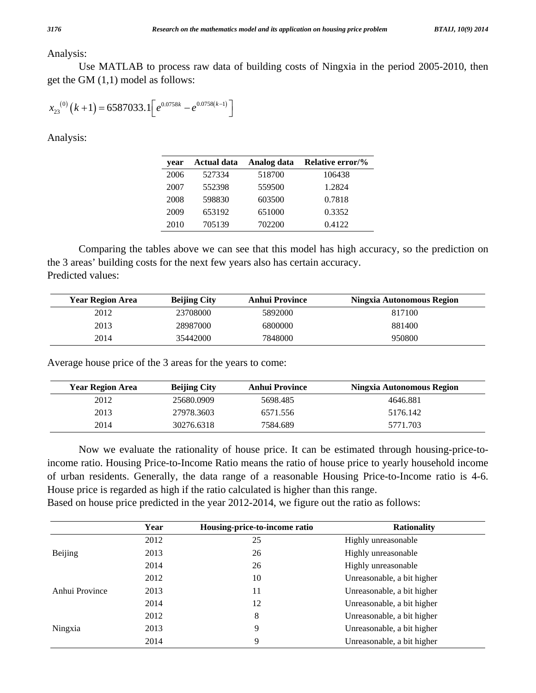### Analysis:

Use MATLAB to process raw data of building costs of Ningxia in the period 2005-2010, then get the GM (1,1) model as follows:

$$
x_{23}^{(0)}(k+1) = 6587033.1 \left[ e^{0.0758k} - e^{0.0758(k-1)} \right]
$$

Analysis:

| vear | <b>Actual data</b> | Analog data | Relative error/% |
|------|--------------------|-------------|------------------|
| 2006 | 527334             | 518700      | 106438           |
| 2007 | 552398             | 559500      | 1.2824           |
| 2008 | 598830             | 603500      | 0.7818           |
| 2009 | 653192             | 651000      | 0.3352           |
| 2010 | 705139             | 702200      | 0.4122           |

Comparing the tables above we can see that this model has high accuracy, so the prediction on the 3 areas' building costs for the next few years also has certain accuracy. Predicted values:

| <b>Year Region Area</b> | <b>Beijing City</b> | Anhui Province | Ningxia Autonomous Region |
|-------------------------|---------------------|----------------|---------------------------|
| 2012                    | 23708000            | 5892000        | 817100                    |
| 2013                    | 28987000            | 6800000        | 881400                    |
| 2014                    | 35442000            | 7848000        | 950800                    |

Average house price of the 3 areas for the years to come:

| <b>Year Region Area</b> | <b>Beijing City</b> | <b>Anhui Province</b> | Ningxia Autonomous Region |
|-------------------------|---------------------|-----------------------|---------------------------|
| 2012                    | 25680.0909          | 5698.485              | 4646.881                  |
| 2013                    | 27978.3603          | 6571.556              | 5176.142                  |
| 2014                    | 30276.6318          | 7584.689              | 5771.703                  |

Now we evaluate the rationality of house price. It can be estimated through housing-price-toincome ratio. Housing Price-to-Income Ratio means the ratio of house price to yearly household income of urban residents. Generally, the data range of a reasonable Housing Price-to-Income ratio is 4-6. House price is regarded as high if the ratio calculated is higher than this range.

Based on house price predicted in the year 2012-2014, we figure out the ratio as follows:

|                | Year | Housing-price-to-income ratio | <b>Rationality</b>         |
|----------------|------|-------------------------------|----------------------------|
|                | 2012 | 25                            | Highly unreasonable        |
| Beijing        | 2013 | 26                            | Highly unreasonable        |
|                | 2014 | 26                            | Highly unreasonable        |
|                | 2012 | 10                            | Unreasonable, a bit higher |
| Anhui Province | 2013 | 11                            | Unreasonable, a bit higher |
|                | 2014 | 12                            | Unreasonable, a bit higher |
|                | 2012 | 8                             | Unreasonable, a bit higher |
| Ningxia        | 2013 | 9                             | Unreasonable, a bit higher |
|                | 2014 | 9                             | Unreasonable, a bit higher |